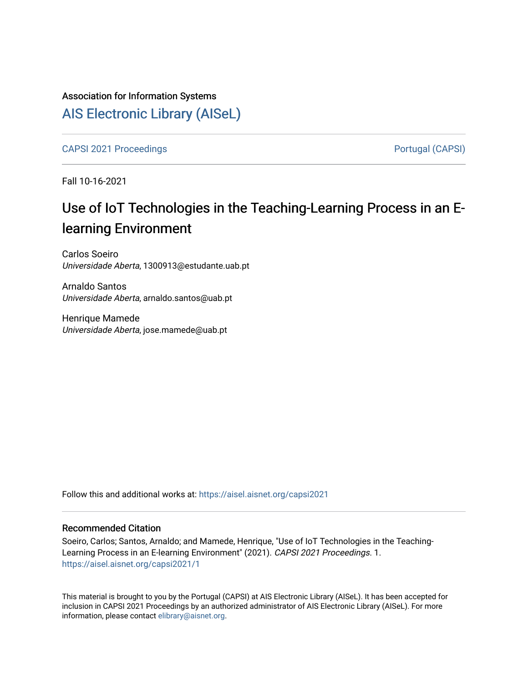# Association for Information Systems [AIS Electronic Library \(AISeL\)](https://aisel.aisnet.org/)

[CAPSI 2021 Proceedings](https://aisel.aisnet.org/capsi2021) **Portugal (CAPSI)** Portugal (CAPSI)

Fall 10-16-2021

# Use of IoT Technologies in the Teaching-Learning Process in an Elearning Environment

Carlos Soeiro Universidade Aberta, 1300913@estudante.uab.pt

Arnaldo Santos Universidade Aberta, arnaldo.santos@uab.pt

Henrique Mamede Universidade Aberta, jose.mamede@uab.pt

Follow this and additional works at: [https://aisel.aisnet.org/capsi2021](https://aisel.aisnet.org/capsi2021?utm_source=aisel.aisnet.org%2Fcapsi2021%2F1&utm_medium=PDF&utm_campaign=PDFCoverPages)

## Recommended Citation

Soeiro, Carlos; Santos, Arnaldo; and Mamede, Henrique, "Use of IoT Technologies in the Teaching-Learning Process in an E-learning Environment" (2021). CAPSI 2021 Proceedings. 1. [https://aisel.aisnet.org/capsi2021/1](https://aisel.aisnet.org/capsi2021/1?utm_source=aisel.aisnet.org%2Fcapsi2021%2F1&utm_medium=PDF&utm_campaign=PDFCoverPages)

This material is brought to you by the Portugal (CAPSI) at AIS Electronic Library (AISeL). It has been accepted for inclusion in CAPSI 2021 Proceedings by an authorized administrator of AIS Electronic Library (AISeL). For more information, please contact [elibrary@aisnet.org.](mailto:elibrary@aisnet.org%3E)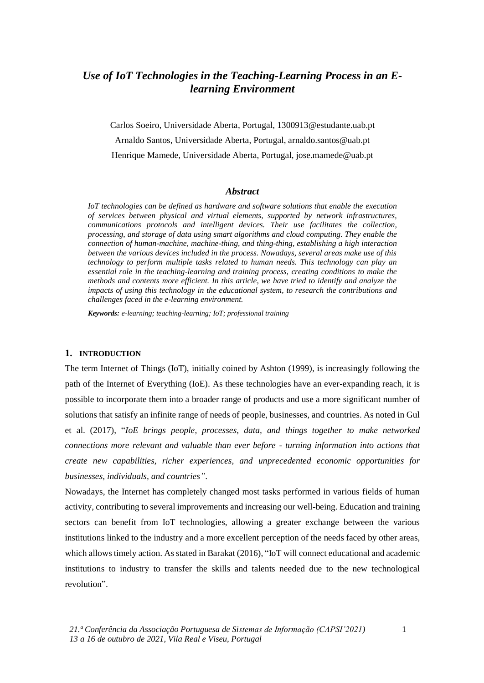# *Use of IoT Technologies in the Teaching-Learning Process in an Elearning Environment*

Carlos Soeiro, Universidade Aberta, Portugal, 1300913@estudante.uab.pt Arnaldo Santos, Universidade Aberta, Portugal, arnaldo.santos@uab.pt Henrique Mamede, Universidade Aberta, Portugal, jose.mamede@uab.pt

### *Abstract*

*IoT technologies can be defined as hardware and software solutions that enable the execution of services between physical and virtual elements, supported by network infrastructures, communications protocols and intelligent devices. Their use facilitates the collection, processing, and storage of data using smart algorithms and cloud computing. They enable the connection of human-machine, machine-thing, and thing-thing, establishing a high interaction between the various devices included in the process. Nowadays, several areas make use of this technology to perform multiple tasks related to human needs. This technology can play an essential role in the teaching-learning and training process, creating conditions to make the methods and contents more efficient. In this article, we have tried to identify and analyze the impacts of using this technology in the educational system, to research the contributions and challenges faced in the e-learning environment.*

*Keywords: e-learning; teaching-learning; IoT; professional training*

### **1. INTRODUCTION**

The term Internet of Things (IoT), initially coined by Ashton (1999), is increasingly following the path of the Internet of Everything (IoE). As these technologies have an ever-expanding reach, it is possible to incorporate them into a broader range of products and use a more significant number of solutions that satisfy an infinite range of needs of people, businesses, and countries. As noted in Gul et al. (2017), "*IoE brings people, processes, data, and things together to make networked connections more relevant and valuable than ever before - turning information into actions that create new capabilities, richer experiences, and unprecedented economic opportunities for businesses, individuals, and countries"*.

Nowadays, the Internet has completely changed most tasks performed in various fields of human activity, contributing to several improvements and increasing our well-being. Education and training sectors can benefit from IoT technologies, allowing a greater exchange between the various institutions linked to the industry and a more excellent perception of the needs faced by other areas, which allows timely action. As stated in Barakat (2016), "IoT will connect educational and academic institutions to industry to transfer the skills and talents needed due to the new technological revolution".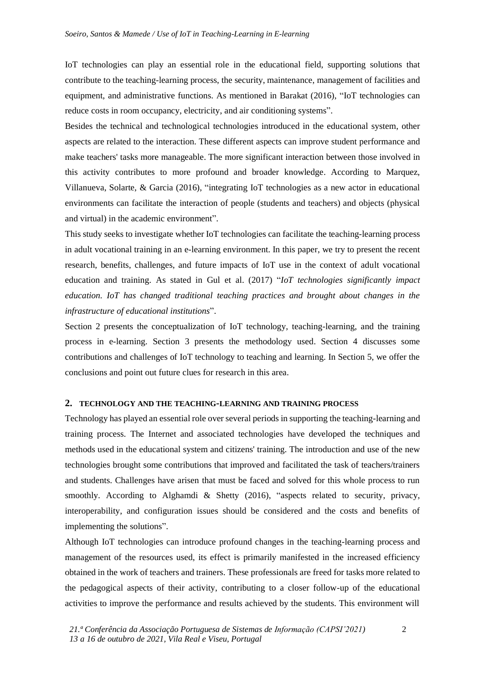IoT technologies can play an essential role in the educational field, supporting solutions that contribute to the teaching-learning process, the security, maintenance, management of facilities and equipment, and administrative functions. As mentioned in Barakat (2016), "IoT technologies can reduce costs in room occupancy, electricity, and air conditioning systems".

Besides the technical and technological technologies introduced in the educational system, other aspects are related to the interaction. These different aspects can improve student performance and make teachers' tasks more manageable. The more significant interaction between those involved in this activity contributes to more profound and broader knowledge. According to Marquez, Villanueva, Solarte, & Garcia (2016), "integrating IoT technologies as a new actor in educational environments can facilitate the interaction of people (students and teachers) and objects (physical and virtual) in the academic environment".

This study seeks to investigate whether IoT technologies can facilitate the teaching-learning process in adult vocational training in an e-learning environment. In this paper, we try to present the recent research, benefits, challenges, and future impacts of IoT use in the context of adult vocational education and training. As stated in Gul et al. (2017) "*IoT technologies significantly impact education. IoT has changed traditional teaching practices and brought about changes in the infrastructure of educational institutions*".

Section 2 presents the conceptualization of IoT technology, teaching-learning, and the training process in e-learning. Section 3 presents the methodology used. Section 4 discusses some contributions and challenges of IoT technology to teaching and learning. In Section 5, we offer the conclusions and point out future clues for research in this area.

## **2. TECHNOLOGY AND THE TEACHING-LEARNING AND TRAINING PROCESS**

Technology has played an essential role over several periods in supporting the teaching-learning and training process. The Internet and associated technologies have developed the techniques and methods used in the educational system and citizens' training. The introduction and use of the new technologies brought some contributions that improved and facilitated the task of teachers/trainers and students. Challenges have arisen that must be faced and solved for this whole process to run smoothly. According to Alghamdi & Shetty  $(2016)$ , "aspects related to security, privacy, interoperability, and configuration issues should be considered and the costs and benefits of implementing the solutions".

Although IoT technologies can introduce profound changes in the teaching-learning process and management of the resources used, its effect is primarily manifested in the increased efficiency obtained in the work of teachers and trainers. These professionals are freed for tasks more related to the pedagogical aspects of their activity, contributing to a closer follow-up of the educational activities to improve the performance and results achieved by the students. This environment will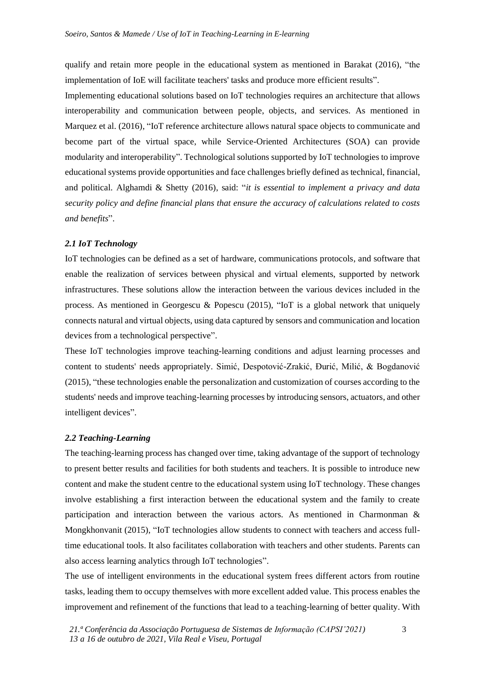qualify and retain more people in the educational system as mentioned in Barakat (2016), "the implementation of IoE will facilitate teachers' tasks and produce more efficient results".

Implementing educational solutions based on IoT technologies requires an architecture that allows interoperability and communication between people, objects, and services. As mentioned in Marquez et al. (2016), "IoT reference architecture allows natural space objects to communicate and become part of the virtual space, while Service-Oriented Architectures (SOA) can provide modularity and interoperability". Technological solutions supported by IoT technologies to improve educational systems provide opportunities and face challenges briefly defined as technical, financial, and political. Alghamdi & Shetty (2016), said: "*it is essential to implement a privacy and data security policy and define financial plans that ensure the accuracy of calculations related to costs and benefits*".

## *2.1 IoT Technology*

IoT technologies can be defined as a set of hardware, communications protocols, and software that enable the realization of services between physical and virtual elements, supported by network infrastructures. These solutions allow the interaction between the various devices included in the process. As mentioned in Georgescu & Popescu (2015), "IoT is a global network that uniquely connects natural and virtual objects, using data captured by sensors and communication and location devices from a technological perspective".

These IoT technologies improve teaching-learning conditions and adjust learning processes and content to students' needs appropriately. Simić, Despotović-Zrakić, Đurić, Milić, & Bogdanović (2015), "these technologies enable the personalization and customization of courses according to the students' needs and improve teaching-learning processes by introducing sensors, actuators, and other intelligent devices".

#### *2.2 Teaching-Learning*

The teaching-learning process has changed over time, taking advantage of the support of technology to present better results and facilities for both students and teachers. It is possible to introduce new content and make the student centre to the educational system using IoT technology. These changes involve establishing a first interaction between the educational system and the family to create participation and interaction between the various actors. As mentioned in Charmonman & Mongkhonvanit (2015), "IoT technologies allow students to connect with teachers and access fulltime educational tools. It also facilitates collaboration with teachers and other students. Parents can also access learning analytics through IoT technologies".

The use of intelligent environments in the educational system frees different actors from routine tasks, leading them to occupy themselves with more excellent added value. This process enables the improvement and refinement of the functions that lead to a teaching-learning of better quality. With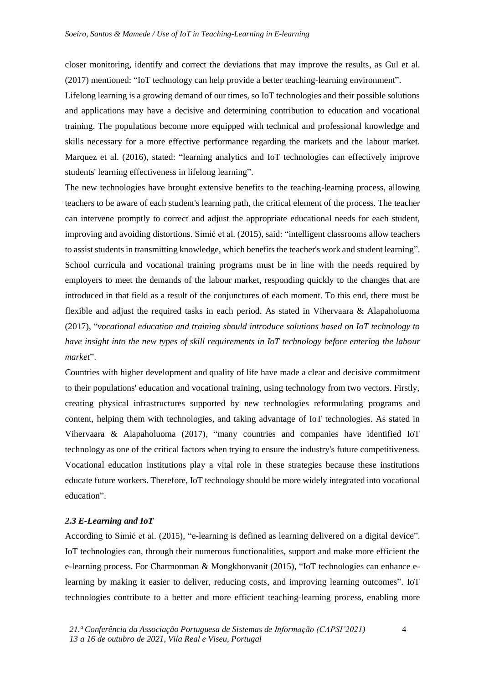closer monitoring, identify and correct the deviations that may improve the results, as Gul et al. (2017) mentioned: "IoT technology can help provide a better teaching-learning environment".

Lifelong learning is a growing demand of our times, so IoT technologies and their possible solutions and applications may have a decisive and determining contribution to education and vocational training. The populations become more equipped with technical and professional knowledge and skills necessary for a more effective performance regarding the markets and the labour market. Marquez et al. (2016), stated: "learning analytics and IoT technologies can effectively improve students' learning effectiveness in lifelong learning".

The new technologies have brought extensive benefits to the teaching-learning process, allowing teachers to be aware of each student's learning path, the critical element of the process. The teacher can intervene promptly to correct and adjust the appropriate educational needs for each student, improving and avoiding distortions. Simić et al. (2015), said: "intelligent classrooms allow teachers to assist students in transmitting knowledge, which benefits the teacher's work and student learning". School curricula and vocational training programs must be in line with the needs required by employers to meet the demands of the labour market, responding quickly to the changes that are introduced in that field as a result of the conjunctures of each moment. To this end, there must be flexible and adjust the required tasks in each period. As stated in Vihervaara & Alapaholuoma (2017), "*vocational education and training should introduce solutions based on IoT technology to have insight into the new types of skill requirements in IoT technology before entering the labour market*".

Countries with higher development and quality of life have made a clear and decisive commitment to their populations' education and vocational training, using technology from two vectors. Firstly, creating physical infrastructures supported by new technologies reformulating programs and content, helping them with technologies, and taking advantage of IoT technologies. As stated in Vihervaara & Alapaholuoma (2017), "many countries and companies have identified IoT technology as one of the critical factors when trying to ensure the industry's future competitiveness. Vocational education institutions play a vital role in these strategies because these institutions educate future workers. Therefore, IoT technology should be more widely integrated into vocational education".

#### *2.3 E-Learning and IoT*

According to Simić et al. (2015), "e-learning is defined as learning delivered on a digital device". IoT technologies can, through their numerous functionalities, support and make more efficient the e-learning process. For Charmonman & Mongkhonvanit (2015), "IoT technologies can enhance elearning by making it easier to deliver, reducing costs, and improving learning outcomes". IoT technologies contribute to a better and more efficient teaching-learning process, enabling more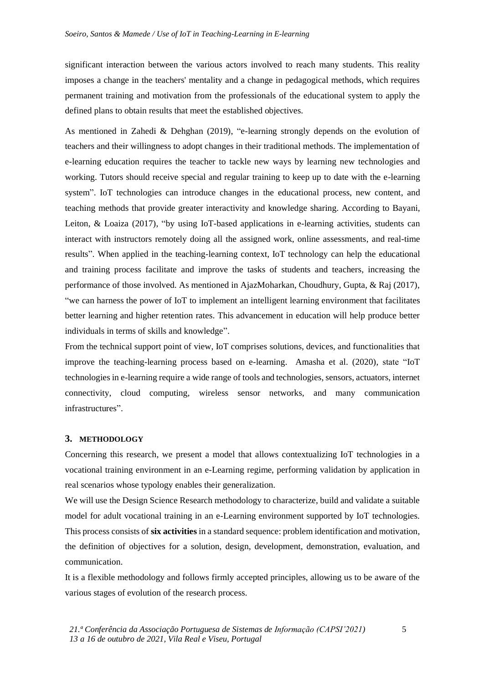significant interaction between the various actors involved to reach many students. This reality imposes a change in the teachers' mentality and a change in pedagogical methods, which requires permanent training and motivation from the professionals of the educational system to apply the defined plans to obtain results that meet the established objectives.

As mentioned in Zahedi & Dehghan (2019), "e-learning strongly depends on the evolution of teachers and their willingness to adopt changes in their traditional methods. The implementation of e-learning education requires the teacher to tackle new ways by learning new technologies and working. Tutors should receive special and regular training to keep up to date with the e-learning system". IoT technologies can introduce changes in the educational process, new content, and teaching methods that provide greater interactivity and knowledge sharing. According to Bayani, Leiton, & Loaiza (2017), "by using IoT-based applications in e-learning activities, students can interact with instructors remotely doing all the assigned work, online assessments, and real-time results". When applied in the teaching-learning context, IoT technology can help the educational and training process facilitate and improve the tasks of students and teachers, increasing the performance of those involved. As mentioned in AjazMoharkan, Choudhury, Gupta, & Raj (2017), "we can harness the power of IoT to implement an intelligent learning environment that facilitates better learning and higher retention rates. This advancement in education will help produce better individuals in terms of skills and knowledge".

From the technical support point of view, IoT comprises solutions, devices, and functionalities that improve the teaching-learning process based on e-learning. Amasha et al. (2020), state "IoT technologies in e-learning require a wide range of tools and technologies, sensors, actuators, internet connectivity, cloud computing, wireless sensor networks, and many communication infrastructures".

#### **3. METHODOLOGY**

Concerning this research, we present a model that allows contextualizing IoT technologies in a vocational training environment in an e-Learning regime, performing validation by application in real scenarios whose typology enables their generalization.

We will use the Design Science Research methodology to characterize, build and validate a suitable model for adult vocational training in an e-Learning environment supported by IoT technologies. This process consists of **six activities** in a standard sequence: problem identification and motivation, the definition of objectives for a solution, design, development, demonstration, evaluation, and communication.

It is a flexible methodology and follows firmly accepted principles, allowing us to be aware of the various stages of evolution of the research process.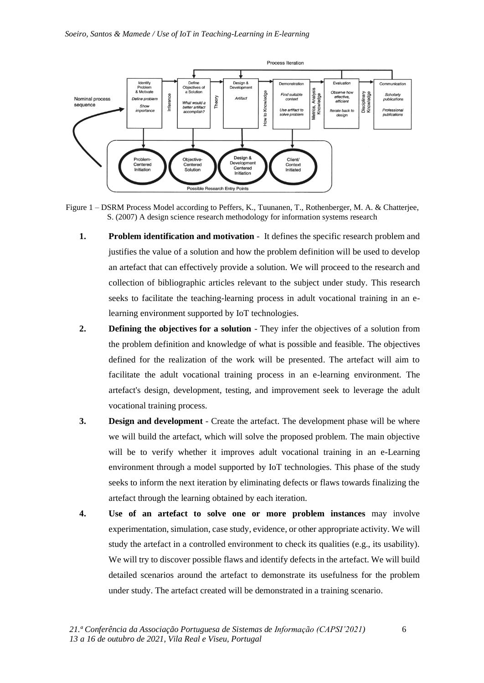

Figure 1 – DSRM Process Model according to Peffers, K., Tuunanen, T., Rothenberger, M. A. & Chatterjee, S. (2007) A design science research methodology for information systems research

- **1. Problem identification and motivation** It defines the specific research problem and justifies the value of a solution and how the problem definition will be used to develop an artefact that can effectively provide a solution. We will proceed to the research and collection of bibliographic articles relevant to the subject under study. This research seeks to facilitate the teaching-learning process in adult vocational training in an elearning environment supported by IoT technologies.
- **2. Defining the objectives for a solution** They infer the objectives of a solution from the problem definition and knowledge of what is possible and feasible. The objectives defined for the realization of the work will be presented. The artefact will aim to facilitate the adult vocational training process in an e-learning environment. The artefact's design, development, testing, and improvement seek to leverage the adult vocational training process.
- **3. Design and development** Create the artefact. The development phase will be where we will build the artefact, which will solve the proposed problem. The main objective will be to verify whether it improves adult vocational training in an e-Learning environment through a model supported by IoT technologies. This phase of the study seeks to inform the next iteration by eliminating defects or flaws towards finalizing the artefact through the learning obtained by each iteration.
- **4. Use of an artefact to solve one or more problem instances** may involve experimentation, simulation, case study, evidence, or other appropriate activity. We will study the artefact in a controlled environment to check its qualities (e.g., its usability). We will try to discover possible flaws and identify defects in the artefact. We will build detailed scenarios around the artefact to demonstrate its usefulness for the problem under study. The artefact created will be demonstrated in a training scenario.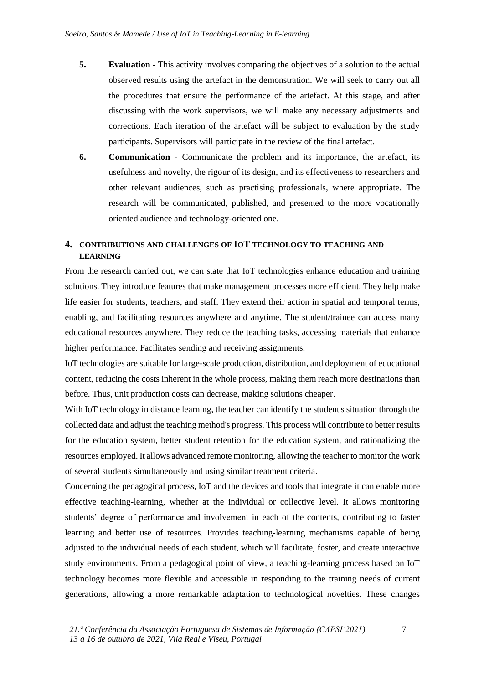- **5. Evaluation** This activity involves comparing the objectives of a solution to the actual observed results using the artefact in the demonstration. We will seek to carry out all the procedures that ensure the performance of the artefact. At this stage, and after discussing with the work supervisors, we will make any necessary adjustments and corrections. Each iteration of the artefact will be subject to evaluation by the study participants. Supervisors will participate in the review of the final artefact.
- **6. Communication** Communicate the problem and its importance, the artefact, its usefulness and novelty, the rigour of its design, and its effectiveness to researchers and other relevant audiences, such as practising professionals, where appropriate. The research will be communicated, published, and presented to the more vocationally oriented audience and technology-oriented one.

## **4. CONTRIBUTIONS AND CHALLENGES OF IOT TECHNOLOGY TO TEACHING AND LEARNING**

From the research carried out, we can state that IoT technologies enhance education and training solutions. They introduce features that make management processes more efficient. They help make life easier for students, teachers, and staff. They extend their action in spatial and temporal terms, enabling, and facilitating resources anywhere and anytime. The student/trainee can access many educational resources anywhere. They reduce the teaching tasks, accessing materials that enhance higher performance. Facilitates sending and receiving assignments.

IoT technologies are suitable for large-scale production, distribution, and deployment of educational content, reducing the costs inherent in the whole process, making them reach more destinations than before. Thus, unit production costs can decrease, making solutions cheaper.

With IoT technology in distance learning, the teacher can identify the student's situation through the collected data and adjust the teaching method's progress. This process will contribute to better results for the education system, better student retention for the education system, and rationalizing the resources employed. It allows advanced remote monitoring, allowing the teacher to monitor the work of several students simultaneously and using similar treatment criteria.

Concerning the pedagogical process, IoT and the devices and tools that integrate it can enable more effective teaching-learning, whether at the individual or collective level. It allows monitoring students' degree of performance and involvement in each of the contents, contributing to faster learning and better use of resources. Provides teaching-learning mechanisms capable of being adjusted to the individual needs of each student, which will facilitate, foster, and create interactive study environments. From a pedagogical point of view, a teaching-learning process based on IoT technology becomes more flexible and accessible in responding to the training needs of current generations, allowing a more remarkable adaptation to technological novelties. These changes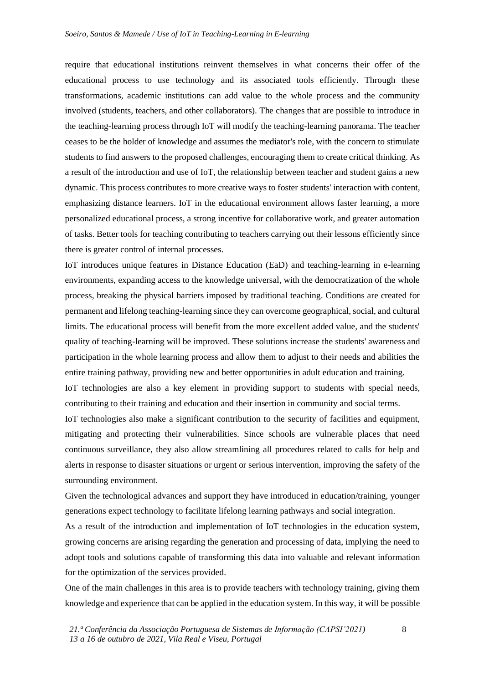require that educational institutions reinvent themselves in what concerns their offer of the educational process to use technology and its associated tools efficiently. Through these transformations, academic institutions can add value to the whole process and the community involved (students, teachers, and other collaborators). The changes that are possible to introduce in the teaching-learning process through IoT will modify the teaching-learning panorama. The teacher ceases to be the holder of knowledge and assumes the mediator's role, with the concern to stimulate students to find answers to the proposed challenges, encouraging them to create critical thinking. As a result of the introduction and use of IoT, the relationship between teacher and student gains a new dynamic. This process contributes to more creative ways to foster students' interaction with content, emphasizing distance learners. IoT in the educational environment allows faster learning, a more personalized educational process, a strong incentive for collaborative work, and greater automation of tasks. Better tools for teaching contributing to teachers carrying out their lessons efficiently since there is greater control of internal processes.

IoT introduces unique features in Distance Education (EaD) and teaching-learning in e-learning environments, expanding access to the knowledge universal, with the democratization of the whole process, breaking the physical barriers imposed by traditional teaching. Conditions are created for permanent and lifelong teaching-learning since they can overcome geographical, social, and cultural limits. The educational process will benefit from the more excellent added value, and the students' quality of teaching-learning will be improved. These solutions increase the students' awareness and participation in the whole learning process and allow them to adjust to their needs and abilities the entire training pathway, providing new and better opportunities in adult education and training.

IoT technologies are also a key element in providing support to students with special needs, contributing to their training and education and their insertion in community and social terms.

IoT technologies also make a significant contribution to the security of facilities and equipment, mitigating and protecting their vulnerabilities. Since schools are vulnerable places that need continuous surveillance, they also allow streamlining all procedures related to calls for help and alerts in response to disaster situations or urgent or serious intervention, improving the safety of the surrounding environment.

Given the technological advances and support they have introduced in education/training, younger generations expect technology to facilitate lifelong learning pathways and social integration.

As a result of the introduction and implementation of IoT technologies in the education system, growing concerns are arising regarding the generation and processing of data, implying the need to adopt tools and solutions capable of transforming this data into valuable and relevant information for the optimization of the services provided.

One of the main challenges in this area is to provide teachers with technology training, giving them knowledge and experience that can be applied in the education system. In this way, it will be possible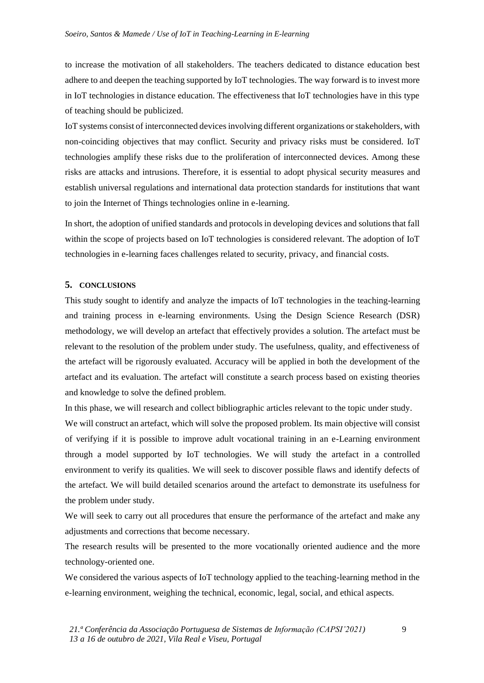to increase the motivation of all stakeholders. The teachers dedicated to distance education best adhere to and deepen the teaching supported by IoT technologies. The way forward is to invest more in IoT technologies in distance education. The effectiveness that IoT technologies have in this type of teaching should be publicized.

IoT systems consist of interconnected devices involving different organizations or stakeholders, with non-coinciding objectives that may conflict. Security and privacy risks must be considered. IoT technologies amplify these risks due to the proliferation of interconnected devices. Among these risks are attacks and intrusions. Therefore, it is essential to adopt physical security measures and establish universal regulations and international data protection standards for institutions that want to join the Internet of Things technologies online in e-learning.

In short, the adoption of unified standards and protocols in developing devices and solutions that fall within the scope of projects based on IoT technologies is considered relevant. The adoption of IoT technologies in e-learning faces challenges related to security, privacy, and financial costs.

### **5. CONCLUSIONS**

This study sought to identify and analyze the impacts of IoT technologies in the teaching-learning and training process in e-learning environments. Using the Design Science Research (DSR) methodology, we will develop an artefact that effectively provides a solution. The artefact must be relevant to the resolution of the problem under study. The usefulness, quality, and effectiveness of the artefact will be rigorously evaluated. Accuracy will be applied in both the development of the artefact and its evaluation. The artefact will constitute a search process based on existing theories and knowledge to solve the defined problem.

In this phase, we will research and collect bibliographic articles relevant to the topic under study. We will construct an artefact, which will solve the proposed problem. Its main objective will consist of verifying if it is possible to improve adult vocational training in an e-Learning environment through a model supported by IoT technologies. We will study the artefact in a controlled environment to verify its qualities. We will seek to discover possible flaws and identify defects of the artefact. We will build detailed scenarios around the artefact to demonstrate its usefulness for the problem under study.

We will seek to carry out all procedures that ensure the performance of the artefact and make any adjustments and corrections that become necessary.

The research results will be presented to the more vocationally oriented audience and the more technology-oriented one.

We considered the various aspects of IoT technology applied to the teaching-learning method in the e-learning environment, weighing the technical, economic, legal, social, and ethical aspects.